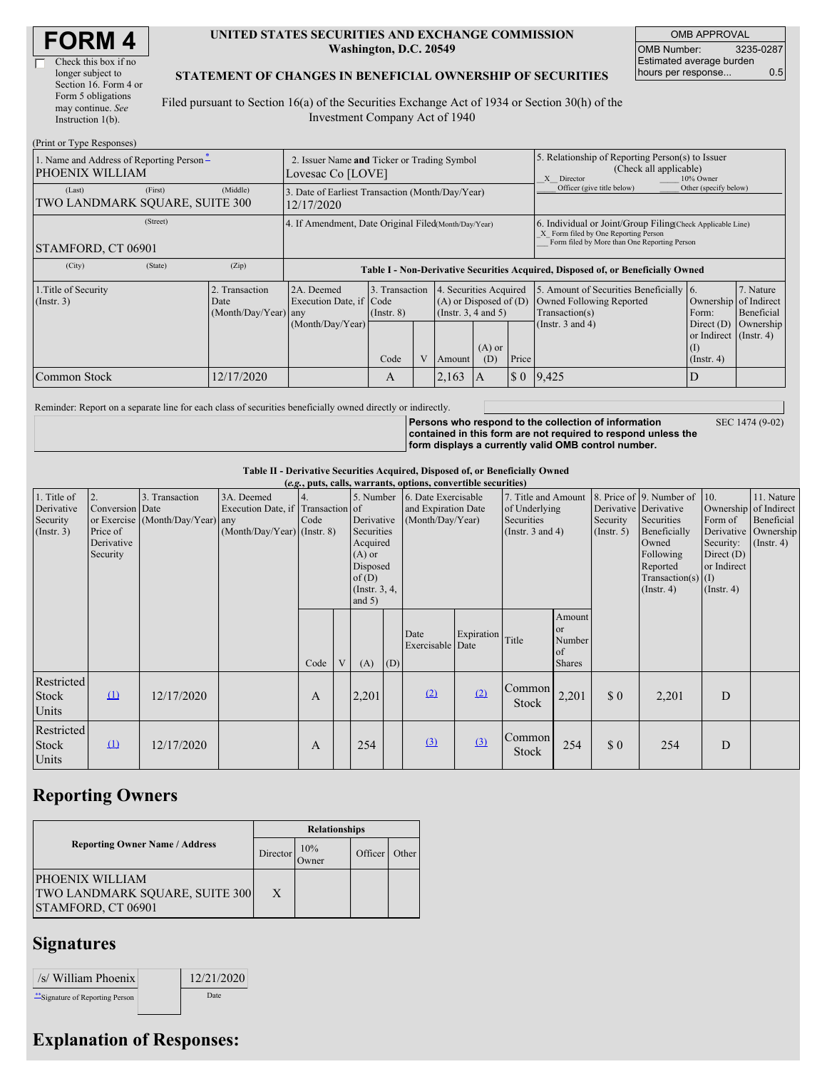| <b>FORM 4</b> |
|---------------|
|---------------|

 $\Gamma$ 

| Check this box if no  |
|-----------------------|
| longer subject to     |
| Section 16. Form 4 or |
| Form 5 obligations    |
| may continue. See     |
| Instruction $1(b)$ .  |
|                       |

#### **UNITED STATES SECURITIES AND EXCHANGE COMMISSION Washington, D.C. 20549**

OMB APPROVAL OMB Number: 3235-0287 Estimated average burden hours per response... 0.5

#### **STATEMENT OF CHANGES IN BENEFICIAL OWNERSHIP OF SECURITIES**

Filed pursuant to Section 16(a) of the Securities Exchange Act of 1934 or Section 30(h) of the Investment Company Act of 1940

| (Print or Type Responses)                                   |                                                                                                            |                                                                |                                           |  |                                                                                                           |                                                                                                       |                                                                                                                                                    |                                                                                                                |                                                                                                    |                                      |  |  |  |
|-------------------------------------------------------------|------------------------------------------------------------------------------------------------------------|----------------------------------------------------------------|-------------------------------------------|--|-----------------------------------------------------------------------------------------------------------|-------------------------------------------------------------------------------------------------------|----------------------------------------------------------------------------------------------------------------------------------------------------|----------------------------------------------------------------------------------------------------------------|----------------------------------------------------------------------------------------------------|--------------------------------------|--|--|--|
| 1. Name and Address of Reporting Person-<br>PHOENIX WILLIAM | 2. Issuer Name and Ticker or Trading Symbol<br>Lovesac Co [LOVE]                                           |                                                                |                                           |  |                                                                                                           | 5. Relationship of Reporting Person(s) to Issuer<br>(Check all applicable)<br>10% Owner<br>X Director |                                                                                                                                                    |                                                                                                                |                                                                                                    |                                      |  |  |  |
| (First)<br>(Last)<br>TWO LANDMARK SOUARE, SUITE 300         | (Middle)                                                                                                   | 3. Date of Earliest Transaction (Month/Day/Year)<br>12/17/2020 |                                           |  |                                                                                                           |                                                                                                       | Officer (give title below)                                                                                                                         | Other (specify below)                                                                                          |                                                                                                    |                                      |  |  |  |
| (Street)<br>STAMFORD, CT 06901                              |                                                                                                            | 4. If Amendment, Date Original Filed Month/Day/Year)           |                                           |  |                                                                                                           |                                                                                                       | 6. Individual or Joint/Group Filing(Check Applicable Line)<br>X Form filed by One Reporting Person<br>Form filed by More than One Reporting Person |                                                                                                                |                                                                                                    |                                      |  |  |  |
| (State)<br>(City)                                           | (Zip)                                                                                                      |                                                                |                                           |  |                                                                                                           |                                                                                                       |                                                                                                                                                    | Table I - Non-Derivative Securities Acquired, Disposed of, or Beneficially Owned                               |                                                                                                    |                                      |  |  |  |
| 1. Title of Security<br>$($ Instr. 3 $)$                    | Transaction<br>2A. Deemed<br>Execution Date, if Code<br>Date<br>$(Month/Day/Year)$ any<br>(Month/Day/Year) |                                                                | 3. Transaction<br>$($ Instr. $8)$<br>Code |  | 4. Securities Acquired<br>$(A)$ or Disposed of $(D)$<br>(Insert. 3, 4 and 5)<br>$(A)$ or<br>(D)<br>Amount |                                                                                                       | Price                                                                                                                                              | 5. Amount of Securities Beneficially 6.<br>Owned Following Reported<br>Transaction(s)<br>(Instr. $3$ and $4$ ) | Ownership of Indirect<br>Form:<br>Direct $(D)$<br>or Indirect $($ Instr. 4 $)$<br>$($ Instr. 4 $)$ | 7. Nature<br>Beneficial<br>Ownership |  |  |  |
| Common Stock                                                | 12/17/2020                                                                                                 |                                                                | A                                         |  | 2,163                                                                                                     | A                                                                                                     |                                                                                                                                                    | $\vert 0 \vert 9,425 \vert$                                                                                    |                                                                                                    |                                      |  |  |  |

Reminder: Report on a separate line for each class of securities beneficially owned directly or indirectly.

**Persons who respond to the collection of information contained in this form are not required to respond unless the form displays a currently valid OMB control number.**

SEC 1474 (9-02)

**Table II - Derivative Securities Acquired, Disposed of, or Beneficially Owned**

| (e.g., puts, calls, warrants, options, convertible securities) |                                                             |                                                |                                                                                         |            |   |                                                                                                                         |     |                                                                |                  |                                                                             |                                               |                                                       |                                                                                                                                      |                                                                                                         |                                                                        |
|----------------------------------------------------------------|-------------------------------------------------------------|------------------------------------------------|-----------------------------------------------------------------------------------------|------------|---|-------------------------------------------------------------------------------------------------------------------------|-----|----------------------------------------------------------------|------------------|-----------------------------------------------------------------------------|-----------------------------------------------|-------------------------------------------------------|--------------------------------------------------------------------------------------------------------------------------------------|---------------------------------------------------------------------------------------------------------|------------------------------------------------------------------------|
| 1. Title of<br>Derivative<br>Security<br>$($ Instr. 3 $)$      | 2.<br>Conversion Date<br>Price of<br>Derivative<br>Security | 3. Transaction<br>or Exercise (Month/Day/Year) | 3A. Deemed<br>Execution Date, if Transaction of<br>any<br>$(Month/Day/Year)$ (Instr. 8) | 4.<br>Code |   | 5. Number<br>Derivative<br>Securities<br>Acquired<br>$(A)$ or<br>Disposed<br>of $(D)$<br>$($ Instr. $3, 4,$<br>and $5)$ |     | 6. Date Exercisable<br>and Expiration Date<br>(Month/Day/Year) |                  | 7. Title and Amount<br>of Underlying<br>Securities<br>(Instr. $3$ and $4$ ) |                                               | Derivative Derivative<br>Security<br>$($ Instr. 5 $)$ | 8. Price of 9. Number of<br>Securities<br>Beneficially<br>Owned<br>Following<br>Reported<br>Transaction(s) $(I)$<br>$($ Instr. 4 $)$ | 10.<br>Ownership of Indirect<br>Form of<br>Security:<br>Direct $(D)$<br>or Indirect<br>$($ Instr. 4 $)$ | 11. Nature<br>Beneficial<br>Derivative   Ownership<br>$($ Instr. 4 $)$ |
|                                                                |                                                             |                                                |                                                                                         | Code       | V | (A)                                                                                                                     | (D) | Date<br>Exercisable Date                                       | Expiration Title |                                                                             | Amount<br>or<br>Number<br>of<br><b>Shares</b> |                                                       |                                                                                                                                      |                                                                                                         |                                                                        |
| Restricted<br>Stock<br>Units                                   | $\mathbf{u}$                                                | 12/17/2020                                     |                                                                                         | A          |   | 2,201                                                                                                                   |     | (2)                                                            | (2)              | Common<br>Stock                                                             | 2,201                                         | \$0                                                   | 2,201                                                                                                                                | D                                                                                                       |                                                                        |
| Restricted<br>Stock<br>Units                                   | $\Omega$                                                    | 12/17/2020                                     |                                                                                         | A          |   | 254                                                                                                                     |     | (3)                                                            | (3)              | <b>Common</b><br>Stock                                                      | 254                                           | \$0                                                   | 254                                                                                                                                  | D                                                                                                       |                                                                        |

## **Reporting Owners**

|                                                                         | <b>Relationships</b> |               |         |       |  |  |  |
|-------------------------------------------------------------------------|----------------------|---------------|---------|-------|--|--|--|
| <b>Reporting Owner Name / Address</b>                                   | Director             | 10%<br>Owner) | Officer | Other |  |  |  |
| PHOENIX WILLIAM<br>TWO LANDMARK SQUARE, SUITE 300<br>STAMFORD, CT 06901 | X                    |               |         |       |  |  |  |

### **Signatures**

| /s/ William Phoenix              | 12/21/2020 |
|----------------------------------|------------|
| ** Signature of Reporting Person | Date       |

# **Explanation of Responses:**